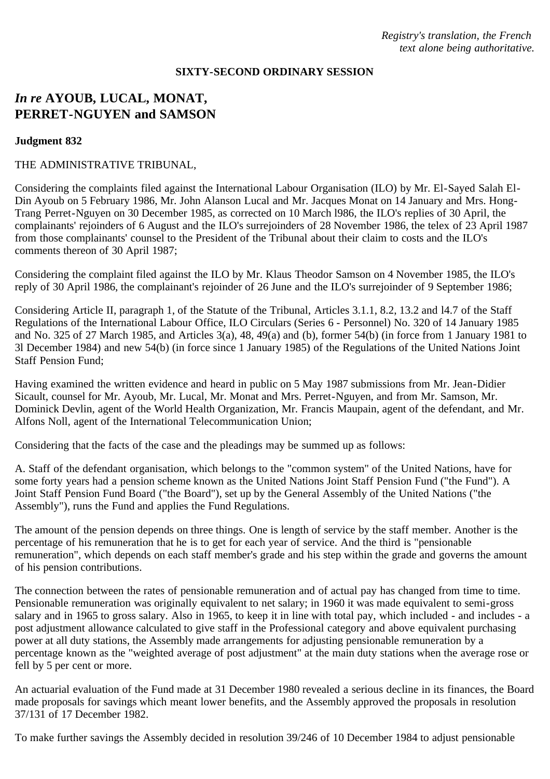### **SIXTY-SECOND ORDINARY SESSION**

# *In re* **AYOUB, LUCAL, MONAT, PERRET-NGUYEN and SAMSON**

### **Judgment 832**

#### THE ADMINISTRATIVE TRIBUNAL,

Considering the complaints filed against the International Labour Organisation (ILO) by Mr. El-Sayed Salah El-Din Ayoub on 5 February 1986, Mr. John Alanson Lucal and Mr. Jacques Monat on 14 January and Mrs. Hong-Trang Perret-Nguyen on 30 December 1985, as corrected on 10 March l986, the ILO's replies of 30 April, the complainants' rejoinders of 6 August and the ILO's surrejoinders of 28 November 1986, the telex of 23 April 1987 from those complainants' counsel to the President of the Tribunal about their claim to costs and the ILO's comments thereon of 30 April 1987;

Considering the complaint filed against the ILO by Mr. Klaus Theodor Samson on 4 November 1985, the ILO's reply of 30 April 1986, the complainant's rejoinder of 26 June and the ILO's surrejoinder of 9 September 1986;

Considering Article II, paragraph 1, of the Statute of the Tribunal, Articles 3.1.1, 8.2, 13.2 and l4.7 of the Staff Regulations of the International Labour Office, ILO Circulars (Series 6 - Personnel) No. 320 of 14 January 1985 and No. 325 of 27 March 1985, and Articles 3(a), 48, 49(a) and (b), former 54(b) (in force from 1 January 1981 to 3l December 1984) and new 54(b) (in force since 1 January 1985) of the Regulations of the United Nations Joint Staff Pension Fund;

Having examined the written evidence and heard in public on 5 May 1987 submissions from Mr. Jean-Didier Sicault, counsel for Mr. Ayoub, Mr. Lucal, Mr. Monat and Mrs. Perret-Nguyen, and from Mr. Samson, Mr. Dominick Devlin, agent of the World Health Organization, Mr. Francis Maupain, agent of the defendant, and Mr. Alfons Noll, agent of the International Telecommunication Union;

Considering that the facts of the case and the pleadings may be summed up as follows:

A. Staff of the defendant organisation, which belongs to the "common system" of the United Nations, have for some forty years had a pension scheme known as the United Nations Joint Staff Pension Fund ("the Fund"). A Joint Staff Pension Fund Board ("the Board"), set up by the General Assembly of the United Nations ("the Assembly"), runs the Fund and applies the Fund Regulations.

The amount of the pension depends on three things. One is length of service by the staff member. Another is the percentage of his remuneration that he is to get for each year of service. And the third is "pensionable remuneration", which depends on each staff member's grade and his step within the grade and governs the amount of his pension contributions.

The connection between the rates of pensionable remuneration and of actual pay has changed from time to time. Pensionable remuneration was originally equivalent to net salary; in 1960 it was made equivalent to semi-gross salary and in 1965 to gross salary. Also in 1965, to keep it in line with total pay, which included - and includes - a post adjustment allowance calculated to give staff in the Professional category and above equivalent purchasing power at all duty stations, the Assembly made arrangements for adjusting pensionable remuneration by a percentage known as the "weighted average of post adjustment" at the main duty stations when the average rose or fell by 5 per cent or more.

An actuarial evaluation of the Fund made at 31 December 1980 revealed a serious decline in its finances, the Board made proposals for savings which meant lower benefits, and the Assembly approved the proposals in resolution 37/131 of 17 December 1982.

To make further savings the Assembly decided in resolution 39/246 of 10 December 1984 to adjust pensionable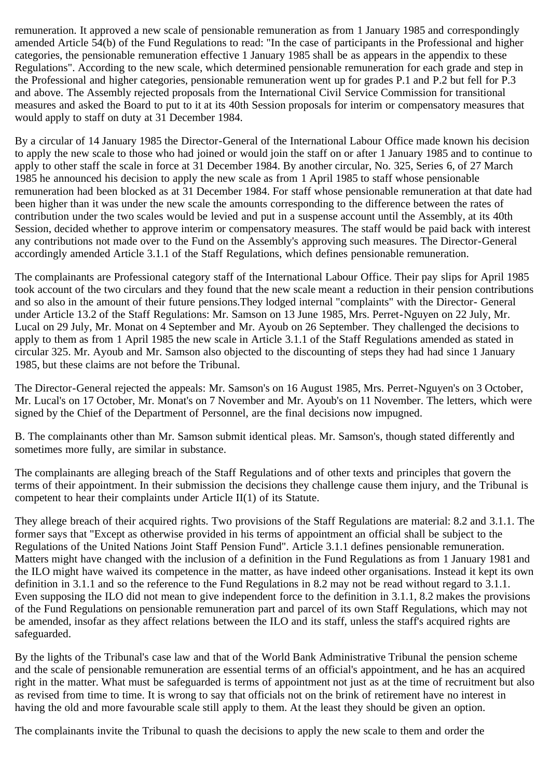remuneration. It approved a new scale of pensionable remuneration as from 1 January 1985 and correspondingly amended Article 54(b) of the Fund Regulations to read: "In the case of participants in the Professional and higher categories, the pensionable remuneration effective 1 January 1985 shall be as appears in the appendix to these Regulations". According to the new scale, which determined pensionable remuneration for each grade and step in the Professional and higher categories, pensionable remuneration went up for grades P.1 and P.2 but fell for P.3 and above. The Assembly rejected proposals from the International Civil Service Commission for transitional measures and asked the Board to put to it at its 40th Session proposals for interim or compensatory measures that would apply to staff on duty at 31 December 1984.

By a circular of 14 January 1985 the Director-General of the International Labour Office made known his decision to apply the new scale to those who had joined or would join the staff on or after 1 January 1985 and to continue to apply to other staff the scale in force at 31 December 1984. By another circular, No. 325, Series 6, of 27 March 1985 he announced his decision to apply the new scale as from 1 April 1985 to staff whose pensionable remuneration had been blocked as at 31 December 1984. For staff whose pensionable remuneration at that date had been higher than it was under the new scale the amounts corresponding to the difference between the rates of contribution under the two scales would be levied and put in a suspense account until the Assembly, at its 40th Session, decided whether to approve interim or compensatory measures. The staff would be paid back with interest any contributions not made over to the Fund on the Assembly's approving such measures. The Director-General accordingly amended Article 3.1.1 of the Staff Regulations, which defines pensionable remuneration.

The complainants are Professional category staff of the International Labour Office. Their pay slips for April 1985 took account of the two circulars and they found that the new scale meant a reduction in their pension contributions and so also in the amount of their future pensions.They lodged internal "complaints" with the Director- General under Article 13.2 of the Staff Regulations: Mr. Samson on 13 June 1985, Mrs. Perret-Nguyen on 22 July, Mr. Lucal on 29 July, Mr. Monat on 4 September and Mr. Ayoub on 26 September. They challenged the decisions to apply to them as from 1 April 1985 the new scale in Article 3.1.1 of the Staff Regulations amended as stated in circular 325. Mr. Ayoub and Mr. Samson also objected to the discounting of steps they had had since 1 January 1985, but these claims are not before the Tribunal.

The Director-General rejected the appeals: Mr. Samson's on 16 August 1985, Mrs. Perret-Nguyen's on 3 October, Mr. Lucal's on 17 October, Mr. Monat's on 7 November and Mr. Ayoub's on 11 November. The letters, which were signed by the Chief of the Department of Personnel, are the final decisions now impugned.

B. The complainants other than Mr. Samson submit identical pleas. Mr. Samson's, though stated differently and sometimes more fully, are similar in substance.

The complainants are alleging breach of the Staff Regulations and of other texts and principles that govern the terms of their appointment. In their submission the decisions they challenge cause them injury, and the Tribunal is competent to hear their complaints under Article II(1) of its Statute.

They allege breach of their acquired rights. Two provisions of the Staff Regulations are material: 8.2 and 3.1.1. The former says that "Except as otherwise provided in his terms of appointment an official shall be subject to the Regulations of the United Nations Joint Staff Pension Fund". Article 3.1.1 defines pensionable remuneration. Matters might have changed with the inclusion of a definition in the Fund Regulations as from 1 January 1981 and the ILO might have waived its competence in the matter, as have indeed other organisations. Instead it kept its own definition in 3.1.1 and so the reference to the Fund Regulations in 8.2 may not be read without regard to 3.1.1. Even supposing the ILO did not mean to give independent force to the definition in 3.1.1, 8.2 makes the provisions of the Fund Regulations on pensionable remuneration part and parcel of its own Staff Regulations, which may not be amended, insofar as they affect relations between the ILO and its staff, unless the staff's acquired rights are safeguarded.

By the lights of the Tribunal's case law and that of the World Bank Administrative Tribunal the pension scheme and the scale of pensionable remuneration are essential terms of an official's appointment, and he has an acquired right in the matter. What must be safeguarded is terms of appointment not just as at the time of recruitment but also as revised from time to time. It is wrong to say that officials not on the brink of retirement have no interest in having the old and more favourable scale still apply to them. At the least they should be given an option.

The complainants invite the Tribunal to quash the decisions to apply the new scale to them and order the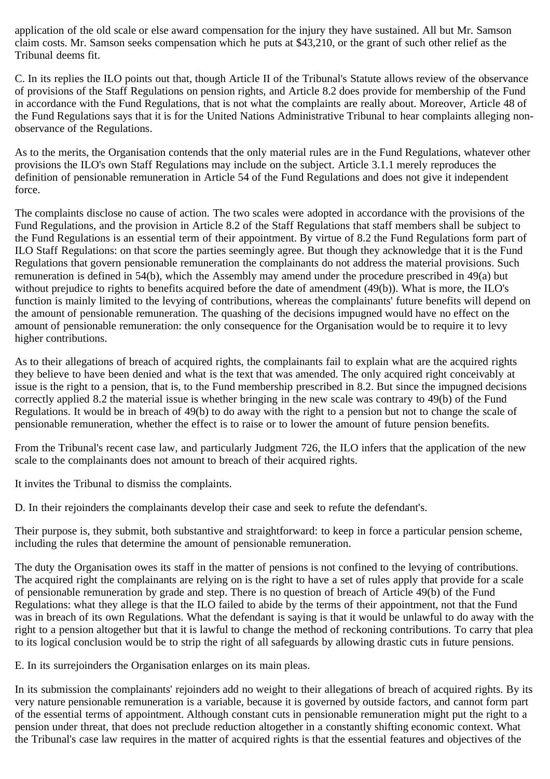application of the old scale or else award compensation for the injury they have sustained. All but Mr. Samson claim costs. Mr. Samson seeks compensation which he puts at \$43,210, or the grant of such other relief as the Tribunal deems fit.

C. In its replies the ILO points out that, though Article II of the Tribunal's Statute allows review of the observance of provisions of the Staff Regulations on pension rights, and Article 8.2 does provide for membership of the Fund in accordance with the Fund Regulations, that is not what the complaints are really about. Moreover, Article 48 of the Fund Regulations says that it is for the United Nations Administrative Tribunal to hear complaints alleging nonobservance of the Regulations.

As to the merits, the Organisation contends that the only material rules are in the Fund Regulations, whatever other provisions the ILO's own Staff Regulations may include on the subject. Article 3.1.1 merely reproduces the definition of pensionable remuneration in Article 54 of the Fund Regulations and does not give it independent force.

The complaints disclose no cause of action. The two scales were adopted in accordance with the provisions of the Fund Regulations, and the provision in Article 8.2 of the Staff Regulations that staff members shall be subject to the Fund Regulations is an essential term of their appointment. By virtue of 8.2 the Fund Regulations form part of ILO Staff Regulations: on that score the parties seemingly agree. But though they acknowledge that it is the Fund Regulations that govern pensionable remuneration the complainants do not address the material provisions. Such remuneration is defined in 54(b), which the Assembly may amend under the procedure prescribed in 49(a) but without prejudice to rights to benefits acquired before the date of amendment (49(b)). What is more, the ILO's function is mainly limited to the levying of contributions, whereas the complainants' future benefits will depend on the amount of pensionable remuneration. The quashing of the decisions impugned would have no effect on the amount of pensionable remuneration: the only consequence for the Organisation would be to require it to levy higher contributions.

As to their allegations of breach of acquired rights, the complainants fail to explain what are the acquired rights they believe to have been denied and what is the text that was amended. The only acquired right conceivably at issue is the right to a pension, that is, to the Fund membership prescribed in 8.2. But since the impugned decisions correctly applied 8.2 the material issue is whether bringing in the new scale was contrary to 49(b) of the Fund Regulations. It would be in breach of 49(b) to do away with the right to a pension but not to change the scale of pensionable remuneration, whether the effect is to raise or to lower the amount of future pension benefits.

From the Tribunal's recent case law, and particularly Judgment 726, the ILO infers that the application of the new scale to the complainants does not amount to breach of their acquired rights.

It invites the Tribunal to dismiss the complaints.

D. In their rejoinders the complainants develop their case and seek to refute the defendant's.

Their purpose is, they submit, both substantive and straightforward: to keep in force a particular pension scheme, including the rules that determine the amount of pensionable remuneration.

The duty the Organisation owes its staff in the matter of pensions is not confined to the levying of contributions. The acquired right the complainants are relying on is the right to have a set of rules apply that provide for a scale of pensionable remuneration by grade and step. There is no question of breach of Article 49(b) of the Fund Regulations: what they allege is that the ILO failed to abide by the terms of their appointment, not that the Fund was in breach of its own Regulations. What the defendant is saying is that it would be unlawful to do away with the right to a pension altogether but that it is lawful to change the method of reckoning contributions. To carry that plea to its logical conclusion would be to strip the right of all safeguards by allowing drastic cuts in future pensions.

E. In its surrejoinders the Organisation enlarges on its main pleas.

In its submission the complainants' rejoinders add no weight to their allegations of breach of acquired rights. By its very nature pensionable remuneration is a variable, because it is governed by outside factors, and cannot form part of the essential terms of appointment. Although constant cuts in pensionable remuneration might put the right to a pension under threat, that does not preclude reduction altogether in a constantly shifting economic context. What the Tribunal's case law requires in the matter of acquired rights is that the essential features and objectives of the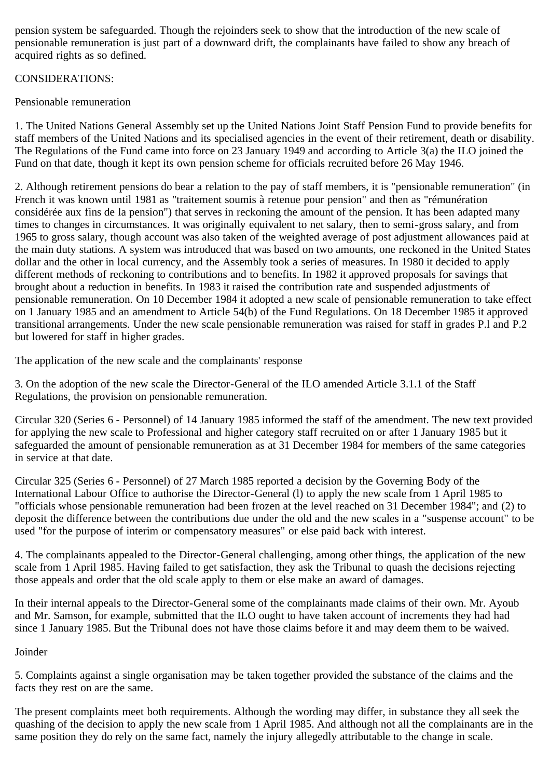pension system be safeguarded. Though the rejoinders seek to show that the introduction of the new scale of pensionable remuneration is just part of a downward drift, the complainants have failed to show any breach of acquired rights as so defined.

## CONSIDERATIONS:

# Pensionable remuneration

1. The United Nations General Assembly set up the United Nations Joint Staff Pension Fund to provide benefits for staff members of the United Nations and its specialised agencies in the event of their retirement, death or disability. The Regulations of the Fund came into force on 23 January 1949 and according to Article 3(a) the ILO joined the Fund on that date, though it kept its own pension scheme for officials recruited before 26 May 1946.

2. Although retirement pensions do bear a relation to the pay of staff members, it is "pensionable remuneration" (in French it was known until 1981 as "traitement soumis à retenue pour pension" and then as "rémunération considérée aux fins de la pension") that serves in reckoning the amount of the pension. It has been adapted many times to changes in circumstances. It was originally equivalent to net salary, then to semi-gross salary, and from 1965 to gross salary, though account was also taken of the weighted average of post adjustment allowances paid at the main duty stations. A system was introduced that was based on two amounts, one reckoned in the United States dollar and the other in local currency, and the Assembly took a series of measures. In 1980 it decided to apply different methods of reckoning to contributions and to benefits. In 1982 it approved proposals for savings that brought about a reduction in benefits. In 1983 it raised the contribution rate and suspended adjustments of pensionable remuneration. On 10 December 1984 it adopted a new scale of pensionable remuneration to take effect on 1 January 1985 and an amendment to Article 54(b) of the Fund Regulations. On 18 December 1985 it approved transitional arrangements. Under the new scale pensionable remuneration was raised for staff in grades P.l and P.2 but lowered for staff in higher grades.

The application of the new scale and the complainants' response

3. On the adoption of the new scale the Director-General of the ILO amended Article 3.1.1 of the Staff Regulations, the provision on pensionable remuneration.

Circular 320 (Series 6 - Personnel) of 14 January 1985 informed the staff of the amendment. The new text provided for applying the new scale to Professional and higher category staff recruited on or after 1 January 1985 but it safeguarded the amount of pensionable remuneration as at 31 December 1984 for members of the same categories in service at that date.

Circular 325 (Series 6 - Personnel) of 27 March 1985 reported a decision by the Governing Body of the International Labour Office to authorise the Director-General (l) to apply the new scale from 1 April 1985 to "officials whose pensionable remuneration had been frozen at the level reached on 31 December 1984"; and (2) to deposit the difference between the contributions due under the old and the new scales in a "suspense account" to be used "for the purpose of interim or compensatory measures" or else paid back with interest.

4. The complainants appealed to the Director-General challenging, among other things, the application of the new scale from 1 April 1985. Having failed to get satisfaction, they ask the Tribunal to quash the decisions rejecting those appeals and order that the old scale apply to them or else make an award of damages.

In their internal appeals to the Director-General some of the complainants made claims of their own. Mr. Ayoub and Mr. Samson, for example, submitted that the ILO ought to have taken account of increments they had had since 1 January 1985. But the Tribunal does not have those claims before it and may deem them to be waived.

Joinder

5. Complaints against a single organisation may be taken together provided the substance of the claims and the facts they rest on are the same.

The present complaints meet both requirements. Although the wording may differ, in substance they all seek the quashing of the decision to apply the new scale from 1 April 1985. And although not all the complainants are in the same position they do rely on the same fact, namely the injury allegedly attributable to the change in scale.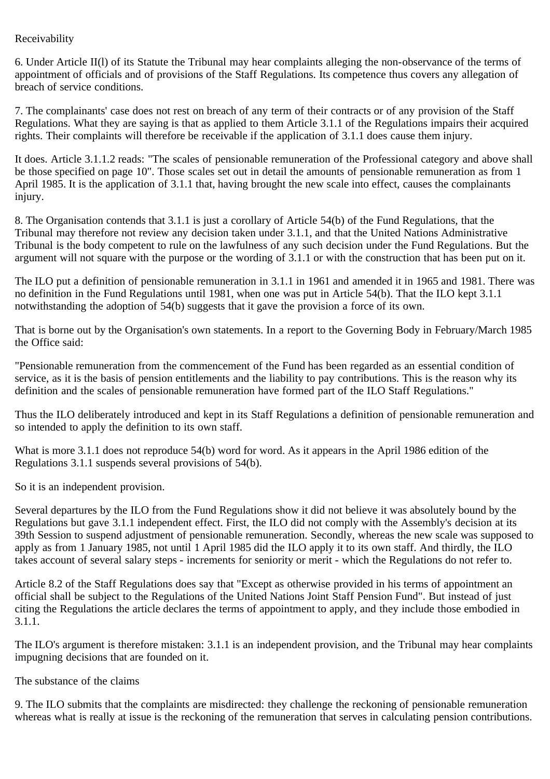### Receivability

6. Under Article II(l) of its Statute the Tribunal may hear complaints alleging the non-observance of the terms of appointment of officials and of provisions of the Staff Regulations. Its competence thus covers any allegation of breach of service conditions.

7. The complainants' case does not rest on breach of any term of their contracts or of any provision of the Staff Regulations. What they are saying is that as applied to them Article 3.1.1 of the Regulations impairs their acquired rights. Their complaints will therefore be receivable if the application of 3.1.1 does cause them injury.

It does. Article 3.1.1.2 reads: "The scales of pensionable remuneration of the Professional category and above shall be those specified on page 10". Those scales set out in detail the amounts of pensionable remuneration as from 1 April 1985. It is the application of 3.1.1 that, having brought the new scale into effect, causes the complainants injury.

8. The Organisation contends that 3.1.1 is just a corollary of Article 54(b) of the Fund Regulations, that the Tribunal may therefore not review any decision taken under 3.1.1, and that the United Nations Administrative Tribunal is the body competent to rule on the lawfulness of any such decision under the Fund Regulations. But the argument will not square with the purpose or the wording of 3.1.1 or with the construction that has been put on it.

The ILO put a definition of pensionable remuneration in 3.1.1 in 1961 and amended it in 1965 and 1981. There was no definition in the Fund Regulations until 1981, when one was put in Article 54(b). That the ILO kept 3.1.1 notwithstanding the adoption of 54(b) suggests that it gave the provision a force of its own.

That is borne out by the Organisation's own statements. In a report to the Governing Body in February/March 1985 the Office said:

"Pensionable remuneration from the commencement of the Fund has been regarded as an essential condition of service, as it is the basis of pension entitlements and the liability to pay contributions. This is the reason why its definition and the scales of pensionable remuneration have formed part of the ILO Staff Regulations."

Thus the ILO deliberately introduced and kept in its Staff Regulations a definition of pensionable remuneration and so intended to apply the definition to its own staff.

What is more 3.1.1 does not reproduce 54(b) word for word. As it appears in the April 1986 edition of the Regulations 3.1.1 suspends several provisions of 54(b).

So it is an independent provision.

Several departures by the ILO from the Fund Regulations show it did not believe it was absolutely bound by the Regulations but gave 3.1.1 independent effect. First, the ILO did not comply with the Assembly's decision at its 39th Session to suspend adjustment of pensionable remuneration. Secondly, whereas the new scale was supposed to apply as from 1 January 1985, not until 1 April 1985 did the ILO apply it to its own staff. And thirdly, the ILO takes account of several salary steps - increments for seniority or merit - which the Regulations do not refer to.

Article 8.2 of the Staff Regulations does say that "Except as otherwise provided in his terms of appointment an official shall be subject to the Regulations of the United Nations Joint Staff Pension Fund". But instead of just citing the Regulations the article declares the terms of appointment to apply, and they include those embodied in 3.1.1.

The ILO's argument is therefore mistaken: 3.1.1 is an independent provision, and the Tribunal may hear complaints impugning decisions that are founded on it.

The substance of the claims

9. The ILO submits that the complaints are misdirected: they challenge the reckoning of pensionable remuneration whereas what is really at issue is the reckoning of the remuneration that serves in calculating pension contributions.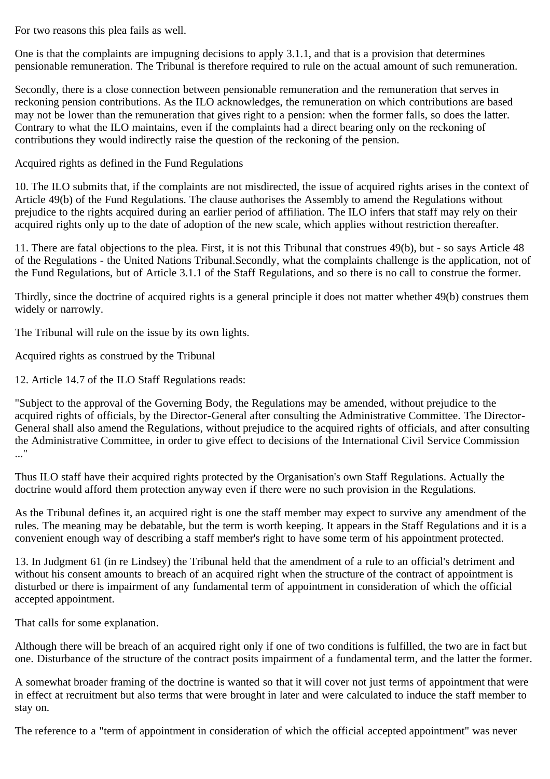For two reasons this plea fails as well.

One is that the complaints are impugning decisions to apply 3.1.1, and that is a provision that determines pensionable remuneration. The Tribunal is therefore required to rule on the actual amount of such remuneration.

Secondly, there is a close connection between pensionable remuneration and the remuneration that serves in reckoning pension contributions. As the ILO acknowledges, the remuneration on which contributions are based may not be lower than the remuneration that gives right to a pension: when the former falls, so does the latter. Contrary to what the ILO maintains, even if the complaints had a direct bearing only on the reckoning of contributions they would indirectly raise the question of the reckoning of the pension.

Acquired rights as defined in the Fund Regulations

10. The ILO submits that, if the complaints are not misdirected, the issue of acquired rights arises in the context of Article 49(b) of the Fund Regulations. The clause authorises the Assembly to amend the Regulations without prejudice to the rights acquired during an earlier period of affiliation. The ILO infers that staff may rely on their acquired rights only up to the date of adoption of the new scale, which applies without restriction thereafter.

11. There are fatal objections to the plea. First, it is not this Tribunal that construes 49(b), but - so says Article 48 of the Regulations - the United Nations Tribunal.Secondly, what the complaints challenge is the application, not of the Fund Regulations, but of Article 3.1.1 of the Staff Regulations, and so there is no call to construe the former.

Thirdly, since the doctrine of acquired rights is a general principle it does not matter whether 49(b) construes them widely or narrowly.

The Tribunal will rule on the issue by its own lights.

Acquired rights as construed by the Tribunal

12. Article 14.7 of the ILO Staff Regulations reads:

"Subject to the approval of the Governing Body, the Regulations may be amended, without prejudice to the acquired rights of officials, by the Director-General after consulting the Administrative Committee. The Director-General shall also amend the Regulations, without prejudice to the acquired rights of officials, and after consulting the Administrative Committee, in order to give effect to decisions of the International Civil Service Commission ..."

Thus ILO staff have their acquired rights protected by the Organisation's own Staff Regulations. Actually the doctrine would afford them protection anyway even if there were no such provision in the Regulations.

As the Tribunal defines it, an acquired right is one the staff member may expect to survive any amendment of the rules. The meaning may be debatable, but the term is worth keeping. It appears in the Staff Regulations and it is a convenient enough way of describing a staff member's right to have some term of his appointment protected.

13. In Judgment 61 (in re Lindsey) the Tribunal held that the amendment of a rule to an official's detriment and without his consent amounts to breach of an acquired right when the structure of the contract of appointment is disturbed or there is impairment of any fundamental term of appointment in consideration of which the official accepted appointment.

That calls for some explanation.

Although there will be breach of an acquired right only if one of two conditions is fulfilled, the two are in fact but one. Disturbance of the structure of the contract posits impairment of a fundamental term, and the latter the former.

A somewhat broader framing of the doctrine is wanted so that it will cover not just terms of appointment that were in effect at recruitment but also terms that were brought in later and were calculated to induce the staff member to stay on.

The reference to a "term of appointment in consideration of which the official accepted appointment" was never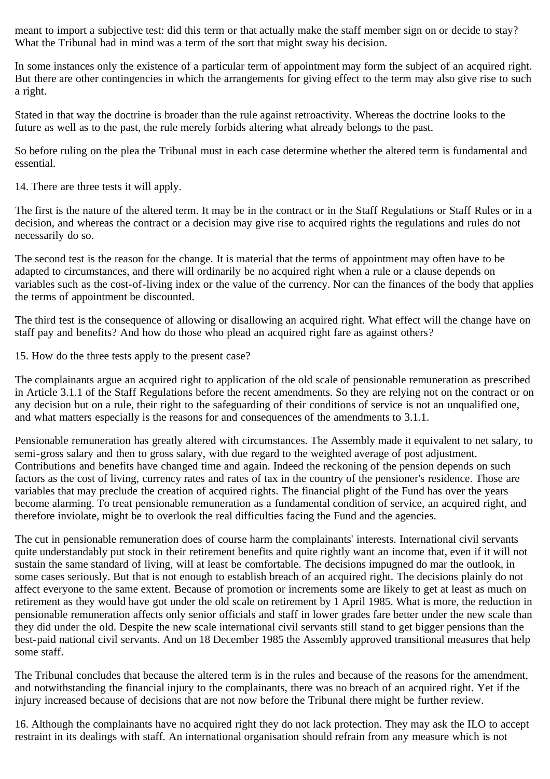meant to import a subjective test: did this term or that actually make the staff member sign on or decide to stay? What the Tribunal had in mind was a term of the sort that might sway his decision.

In some instances only the existence of a particular term of appointment may form the subject of an acquired right. But there are other contingencies in which the arrangements for giving effect to the term may also give rise to such a right.

Stated in that way the doctrine is broader than the rule against retroactivity. Whereas the doctrine looks to the future as well as to the past, the rule merely forbids altering what already belongs to the past.

So before ruling on the plea the Tribunal must in each case determine whether the altered term is fundamental and essential.

14. There are three tests it will apply.

The first is the nature of the altered term. It may be in the contract or in the Staff Regulations or Staff Rules or in a decision, and whereas the contract or a decision may give rise to acquired rights the regulations and rules do not necessarily do so.

The second test is the reason for the change. It is material that the terms of appointment may often have to be adapted to circumstances, and there will ordinarily be no acquired right when a rule or a clause depends on variables such as the cost-of-living index or the value of the currency. Nor can the finances of the body that applies the terms of appointment be discounted.

The third test is the consequence of allowing or disallowing an acquired right. What effect will the change have on staff pay and benefits? And how do those who plead an acquired right fare as against others?

15. How do the three tests apply to the present case?

The complainants argue an acquired right to application of the old scale of pensionable remuneration as prescribed in Article 3.1.1 of the Staff Regulations before the recent amendments. So they are relying not on the contract or on any decision but on a rule, their right to the safeguarding of their conditions of service is not an unqualified one, and what matters especially is the reasons for and consequences of the amendments to 3.1.1.

Pensionable remuneration has greatly altered with circumstances. The Assembly made it equivalent to net salary, to semi-gross salary and then to gross salary, with due regard to the weighted average of post adjustment. Contributions and benefits have changed time and again. Indeed the reckoning of the pension depends on such factors as the cost of living, currency rates and rates of tax in the country of the pensioner's residence. Those are variables that may preclude the creation of acquired rights. The financial plight of the Fund has over the years become alarming. To treat pensionable remuneration as a fundamental condition of service, an acquired right, and therefore inviolate, might be to overlook the real difficulties facing the Fund and the agencies.

The cut in pensionable remuneration does of course harm the complainants' interests. International civil servants quite understandably put stock in their retirement benefits and quite rightly want an income that, even if it will not sustain the same standard of living, will at least be comfortable. The decisions impugned do mar the outlook, in some cases seriously. But that is not enough to establish breach of an acquired right. The decisions plainly do not affect everyone to the same extent. Because of promotion or increments some are likely to get at least as much on retirement as they would have got under the old scale on retirement by 1 April 1985. What is more, the reduction in pensionable remuneration affects only senior officials and staff in lower grades fare better under the new scale than they did under the old. Despite the new scale international civil servants still stand to get bigger pensions than the best-paid national civil servants. And on 18 December 1985 the Assembly approved transitional measures that help some staff.

The Tribunal concludes that because the altered term is in the rules and because of the reasons for the amendment, and notwithstanding the financial injury to the complainants, there was no breach of an acquired right. Yet if the injury increased because of decisions that are not now before the Tribunal there might be further review.

16. Although the complainants have no acquired right they do not lack protection. They may ask the ILO to accept restraint in its dealings with staff. An international organisation should refrain from any measure which is not